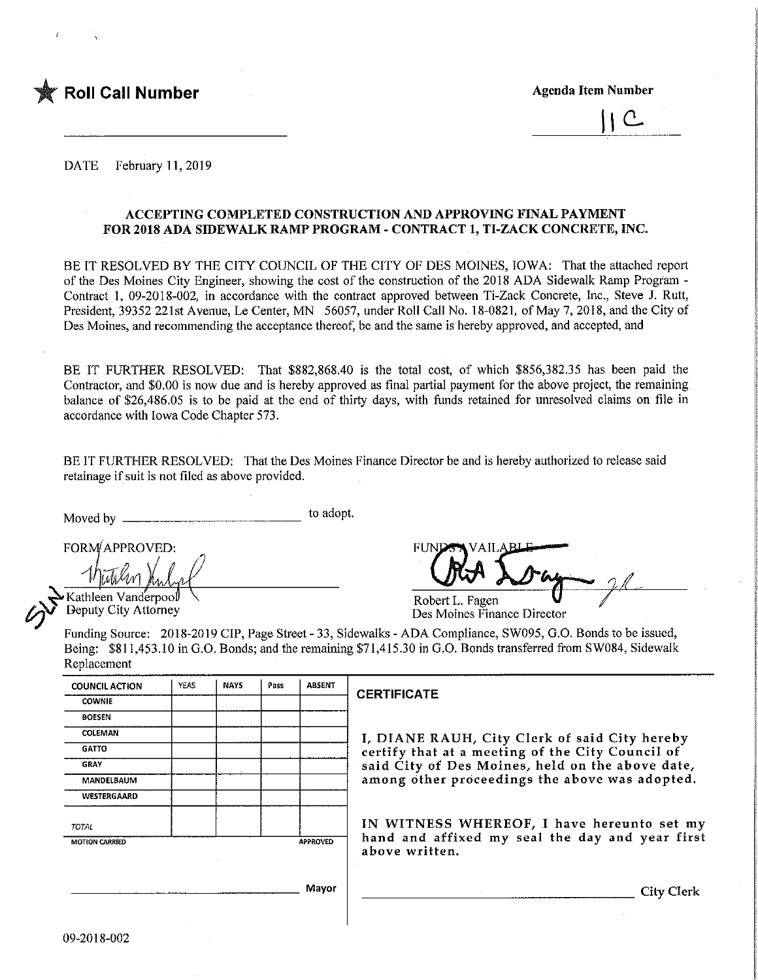

 $\mathsf C$ 

DATE February 11,2019

#### ACCEPTING COMPLETED CONSTRUCTION AND APPROVING FINAL PAYMENT FOR 2018 ADA STOEWALK RAMP PROGRAM - CONTRACT 1, TI-ZACK CONCRETE, INC.

BE IT RESOLVED BY THE CITY COUNCIL OF THE CITY OF DES MOINES, IOWA: That the attached report of the Des Moines City Engineer, showing the cost of the construction of the 2018 ADA Sidewalk Ramp Program -Contract 1, 09-2018-002, in accordance with the contract approved between Ti-Zack Concrete, Inc., Steve J. Rutt, President, 39352 221st Avenue, Le Center, MN 56057, under Roll Call No. 18-0821, of May 7, 2018, and the City of Des Moines, and recommending the acceptance thereof, be and the same is hereby approved, and accepted, and

BE IT FURTHER RESOLVED: That \$882,868.40 is the total cost, of which \$856,382.35 has been paid the Contractor, and \$0.00 is now due and is hereby approved as final partial payment for the above project, the remaining balance of \$26,486.05 is to be paid at the end of thirty days, with funds retained for unresolved claims on file in accordance with Iowa Code Chapter 573.

BE IT FURTHER RESOLVED: That the Des Moines Finance Director be and is hereby authorized to release said retainage if suit is not filed as above provided.

Moved by to adopt.

FORM/APPROVED: FUN

Kathleen Vanderpool Deputy City Attorney

Robert L. Fagen Des Moines Finance Director

Funding Source: 2018-2019 CIP, Page Street - 33, Sidewalks - ADA Compliance, SW095, 0.0. Bonds to be issued, Being: \$811,453.10 in G.O. Bonds; and the remaining \$71,415.30 in G.O. Bonds transferred from SW084, Sidewalk Replacement

| <b>COUNCIL ACTION</b> | <b>YEAS</b> | <b>NAYS</b> | Pass | <b>ABSENT</b> | C |
|-----------------------|-------------|-------------|------|---------------|---|
| <b>COWNIE</b>         |             |             |      |               |   |
| <b>BOESEN</b>         |             |             |      |               |   |
| COLEMAN               |             |             |      |               |   |
| <b>GATTO</b>          |             |             |      |               |   |
| GRAY                  |             |             |      |               |   |
| MANDELBAUM            |             |             |      |               |   |
| WESTERGAARD           |             |             |      |               |   |
| TOTAL                 |             |             |      |               |   |
| <b>MOTION CARRIED</b> |             |             |      | APPROVED      |   |
|                       |             |             |      |               |   |
|                       |             |             |      | Mayor         |   |

#### **CERTIFICATE**

I, DIANE RAUH, City Clerk of said City hereby certify that at a meeting of the City Council of said City of Des Moines, held on the above date, among other proceedings the above was adopted.

IN WITNESS WHEREOF, I have hereunto set my hand and affixed my seal the day and year first above written.

City Clerk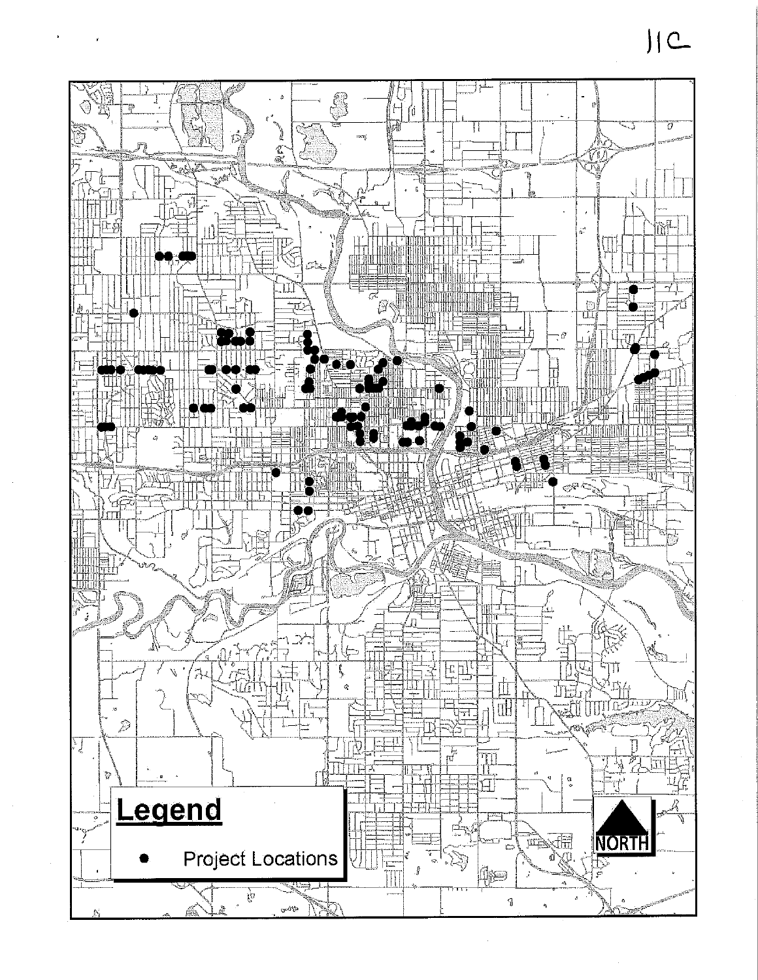

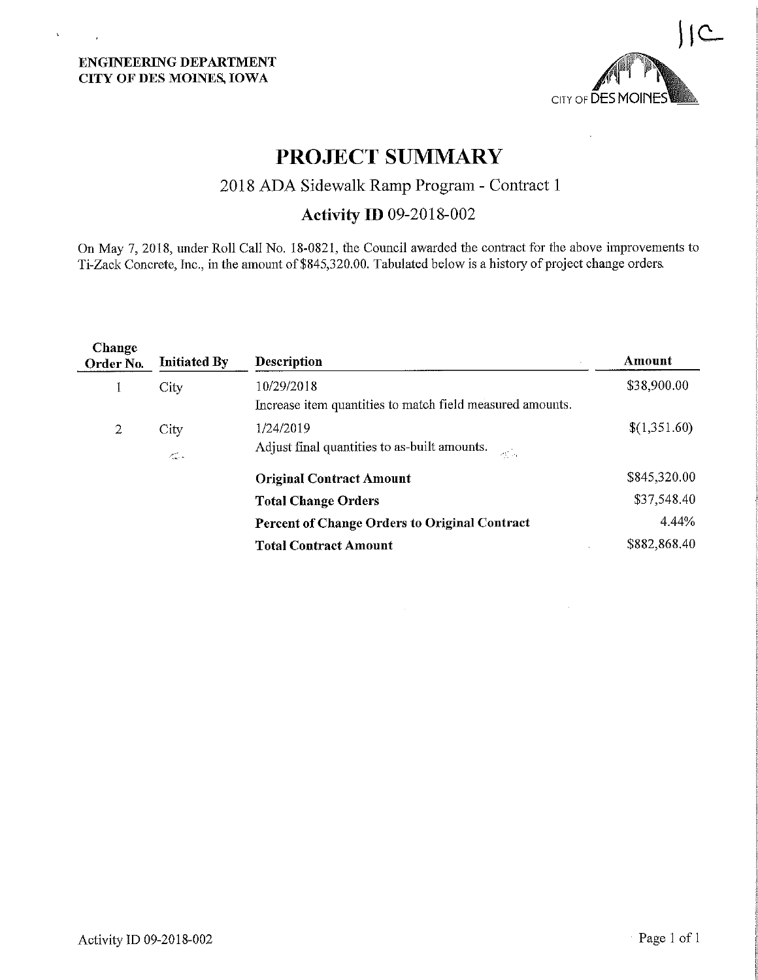$\hat{\mathbf{x}}$ 

 $\sim$   $\sim$ 



# PROJECT SUMMARY

### 2018 ADA Sidewalk Ramp Program - Contract 1

## Activity ID 09-2018-002

On May 7, 2018, under Roll Call No. 18-0821, the Council awarded the contract for the above improvements to Ti-Zack Concrete, Inc., in the amount of \$845,320.00. Tabulated below is a history of project change orders.

| <b>Change</b><br>Order No. | <b>Initiated By</b>                     | <b>Description</b>                                                                       | Amount       |
|----------------------------|-----------------------------------------|------------------------------------------------------------------------------------------|--------------|
|                            | City                                    | 10/29/2018                                                                               | \$38,900.00  |
|                            |                                         | Increase item quantities to match field measured amounts.                                |              |
| 2                          | City                                    | 1/24/2019                                                                                | \$(1,351.60) |
|                            | $\mathcal{L}_{\text{max}}^{\text{max}}$ | Adjust final quantities to as-built amounts.<br>$\mathcal{A}^{\mathrm{int}}_{\Sigma}$ is |              |
|                            |                                         | <b>Original Contract Amount</b>                                                          | \$845,320.00 |
|                            |                                         | <b>Total Change Orders</b>                                                               | \$37,548.40  |
|                            |                                         | Percent of Change Orders to Original Contract                                            | 4.44%        |
|                            |                                         | <b>Total Contract Amount</b>                                                             | \$882,868.40 |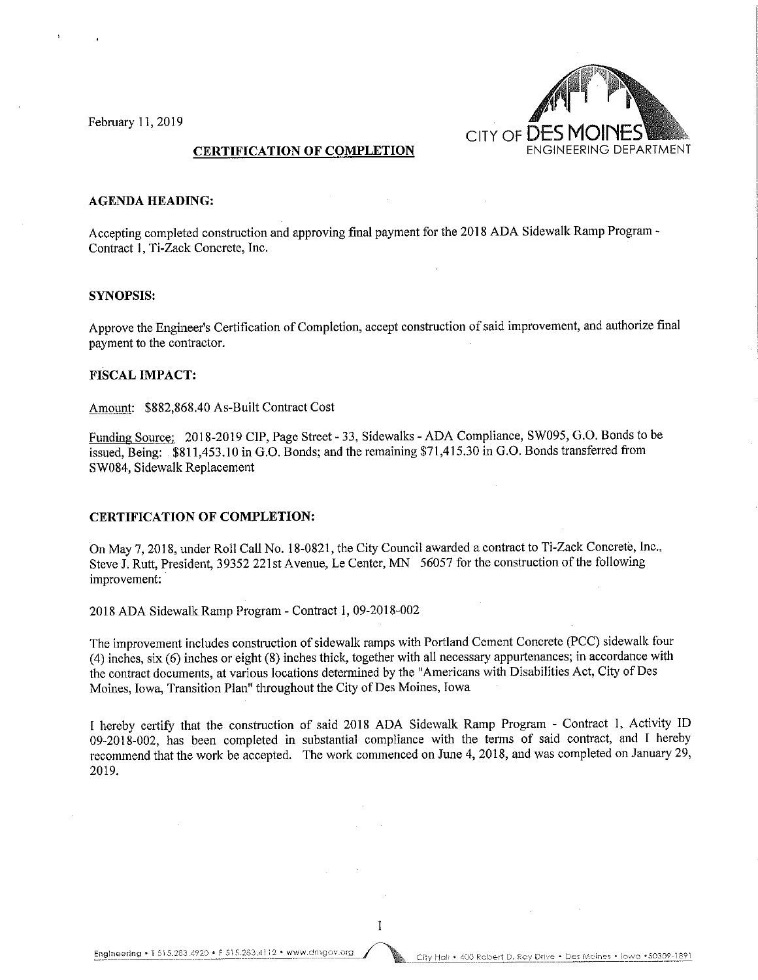February 11,2019



#### CERTIFICATION OF COMPLETION

#### AGENDA HEADING:

Accepting completed construction and approving final payment for the 2018 ADA Sidewalk Ramp Program - Contract 1, Ti-Zack Concrete, Inc.

#### SYNOPSIS:

Approve the Engineer's Certification of Completion, accept construction of said improvement, and authorize final payment to the contractor.

#### FISCAL IMPACT:

Amount: \$882,868.40 As-Built Contract Cost

Funding Source: 2018-2019 CIP, Page Street - 33, Sidewalks - ADA Compliance, SW095, G.O. Bonds to be issued. Being: \$811,453.10 in G.O. Bonds; and the remaining \$71,415.30 in G.O. Bonds transferred from SW084, Sidewalk Replacement

#### CERTIFICATION OF COMPLETION:

On May 7, 2018, under Roll Call No. 18-0821, the City Council awarded a contract to Ti-Zack Concrete, Inc., Steve J. Rutt, President, 39352 221st Avenue, Le Center, MN 56057 for the construction of the following improvement:

2018 ADA Sidewalk Ramp Program - Contract 1, 09-2018-002

The improvement includes construction of sidewalk ramps with Portland Cement Concrete (PCC) sidewalk four (4) inches, six (6) inches or eight (8) inches thick, together with all necessary appurtenances; in accordance with the contract documents, at various locations determined by the "Americans with Disabilities Act, City of Des Moines, Iowa, Transition Plan" throughout the City of Des Moines, Iowa

I hereby certify that the construction of said 2018 ADA Sidewalk Ramp Program - Contract 1, Activity ID 09-2018-002, has been completed in substantial compliance with the terms of said contract, and I hereby recommend that the work be accepted. The work commenced on June 4, 2018, and was completed on January 29, 2019.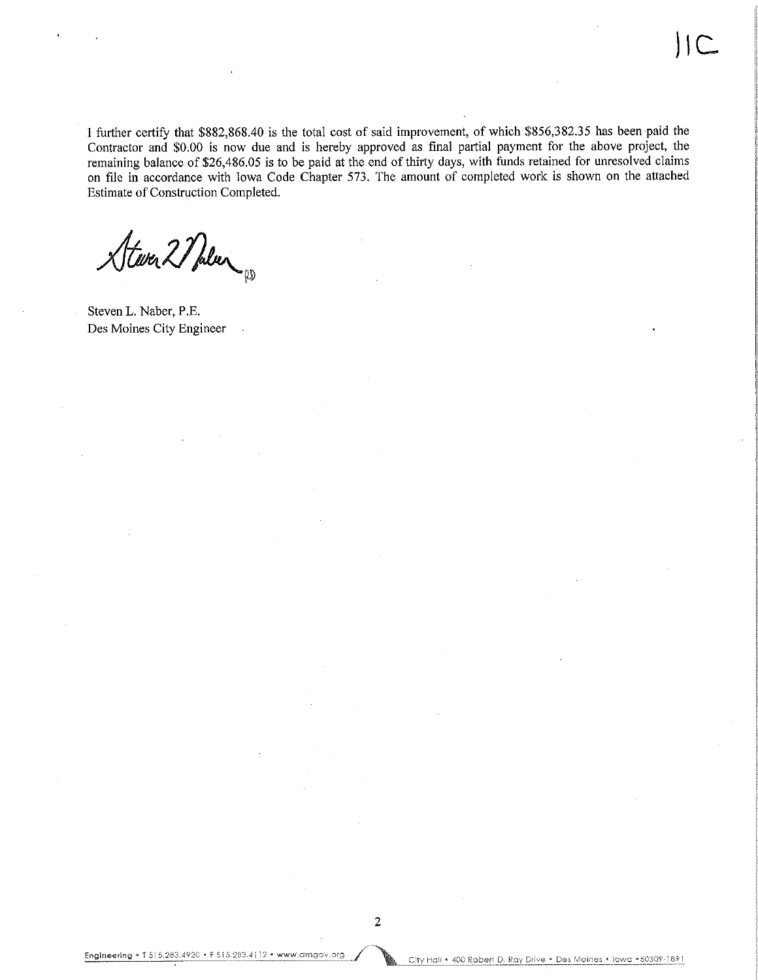I further certify that \$882,868.40 is the total cost of said improvement, of which \$856,382.35 has been paid the Contractor and \$0.00 is now due and is hereby approved as final partial payment for the above project, the remaining balance of \$26,486.05 is to be paid at the end of thirty days, with funds retained for unresolved claims on file in accordance with Iowa Code Chapter 573. The amount of completed work is shown on the attached Estimate of Construction Completed.

Stever 2 Pulver

Steven L. Naber, P.E. Des Moines City Engineer